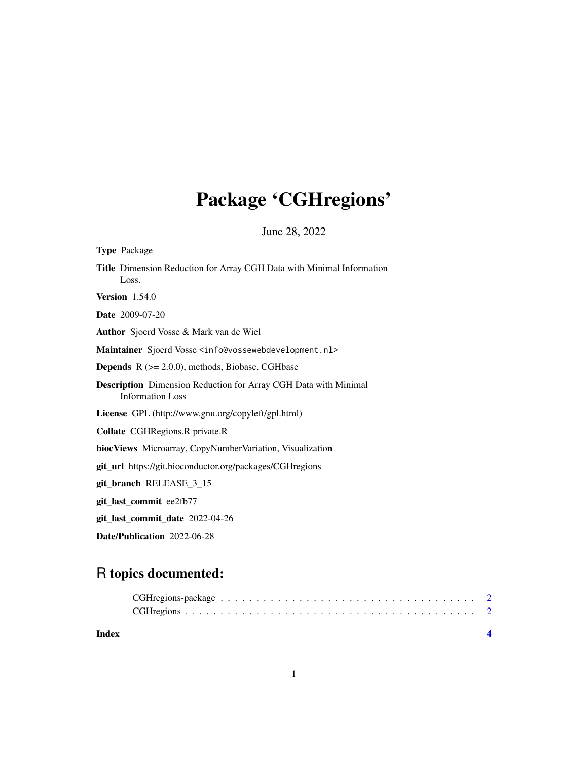# Package 'CGHregions'

June 28, 2022

<span id="page-0-0"></span>

| <b>Type Package</b>                                                                               |
|---------------------------------------------------------------------------------------------------|
| Title Dimension Reduction for Array CGH Data with Minimal Information<br>Loss.                    |
| <b>Version</b> 1.54.0                                                                             |
| <b>Date</b> 2009-07-20                                                                            |
| <b>Author</b> Sjoerd Vosse & Mark van de Wiel                                                     |
| Maintainer Sjoerd Vosse <info@vossewebdevelopment.nl></info@vossewebdevelopment.nl>               |
| <b>Depends</b> $R$ ( $>= 2.0.0$ ), methods, Biobase, CGHbase                                      |
| <b>Description</b> Dimension Reduction for Array CGH Data with Minimal<br><b>Information Loss</b> |
| License GPL (http://www.gnu.org/copyleft/gpl.html)                                                |
| <b>Collate</b> CGHRegions.R private.R                                                             |
| biocViews Microarray, CopyNumberVariation, Visualization                                          |
| git_url https://git.bioconductor.org/packages/CGHregions                                          |
| git_branch RELEASE_3_15                                                                           |
| git_last_commit ee2fb77                                                                           |
| git_last_commit_date 2022-04-26                                                                   |
| Date/Publication 2022-06-28                                                                       |

# R topics documented:

1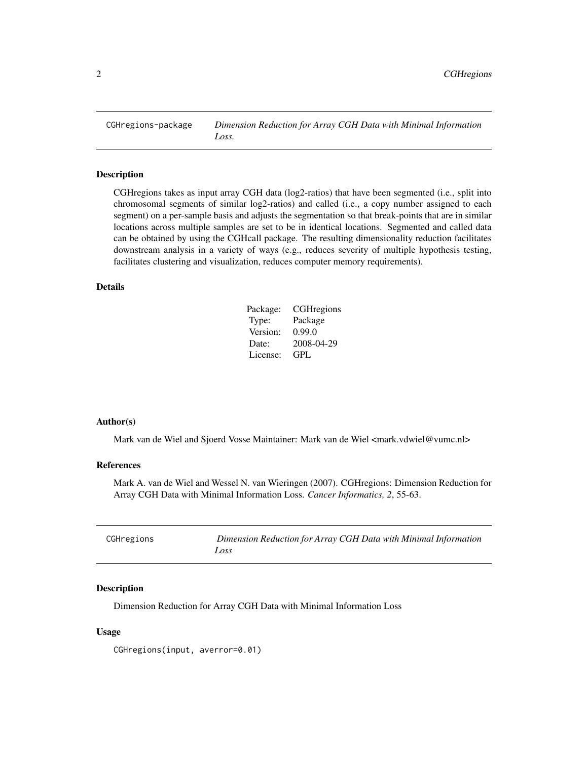<span id="page-1-0"></span>CGHregions-package *Dimension Reduction for Array CGH Data with Minimal Information Loss.*

# Description

CGHregions takes as input array CGH data (log2-ratios) that have been segmented (i.e., split into chromosomal segments of similar log2-ratios) and called (i.e., a copy number assigned to each segment) on a per-sample basis and adjusts the segmentation so that break-points that are in similar locations across multiple samples are set to be in identical locations. Segmented and called data can be obtained by using the CGHcall package. The resulting dimensionality reduction facilitates downstream analysis in a variety of ways (e.g., reduces severity of multiple hypothesis testing, facilitates clustering and visualization, reduces computer memory requirements).

# Details

| Package: | CGH regions |
|----------|-------------|
| Type:    | Package     |
| Version: | 0.99.0      |
| Date:    | 2008-04-29  |
| License: | GPL.        |

# Author(s)

Mark van de Wiel and Sjoerd Vosse Maintainer: Mark van de Wiel <mark.vdwiel@vumc.nl>

# References

Mark A. van de Wiel and Wessel N. van Wieringen (2007). CGHregions: Dimension Reduction for Array CGH Data with Minimal Information Loss. *Cancer Informatics, 2*, 55-63.

| CGHregions | Dimension Reduction for Array CGH Data with Minimal Information |
|------------|-----------------------------------------------------------------|
|            | Loss                                                            |

# Description

Dimension Reduction for Array CGH Data with Minimal Information Loss

#### Usage

CGHregions(input, averror=0.01)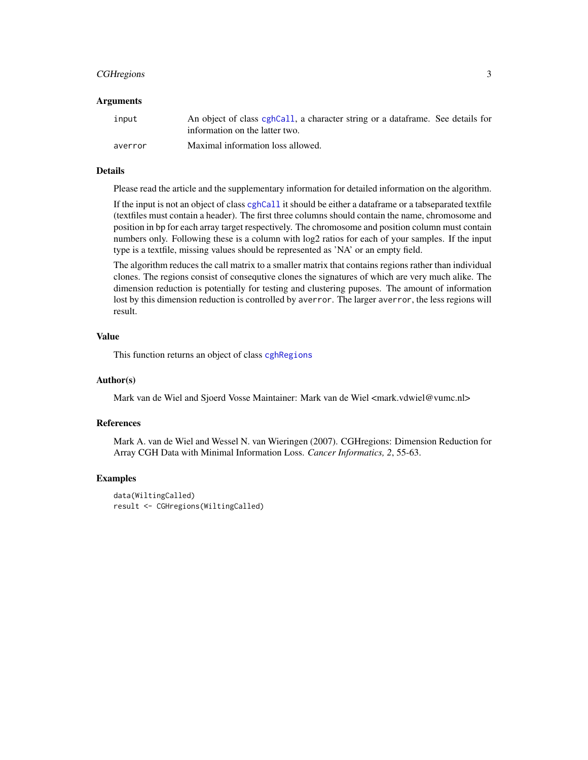# <span id="page-2-0"></span>CGH regions 3

### Arguments

| input   | An object of class cghCall, a character string or a data frame. See details for<br>information on the latter two. |
|---------|-------------------------------------------------------------------------------------------------------------------|
| averror | Maximal information loss allowed.                                                                                 |

# Details

Please read the article and the supplementary information for detailed information on the algorithm.

If the input is not an object of class [cghCall](#page-0-0) it should be either a dataframe or a tabseparated textfile (textfiles must contain a header). The first three columns should contain the name, chromosome and position in bp for each array target respectively. The chromosome and position column must contain numbers only. Following these is a column with log2 ratios for each of your samples. If the input type is a textfile, missing values should be represented as 'NA' or an empty field.

The algorithm reduces the call matrix to a smaller matrix that contains regions rather than individual clones. The regions consist of consequtive clones the signatures of which are very much alike. The dimension reduction is potentially for testing and clustering puposes. The amount of information lost by this dimension reduction is controlled by averror. The larger averror, the less regions will result.

# Value

This function returns an object of class [cghRegions](#page-0-0)

## Author(s)

Mark van de Wiel and Sjoerd Vosse Maintainer: Mark van de Wiel <mark.vdwiel@vumc.nl>

### References

Mark A. van de Wiel and Wessel N. van Wieringen (2007). CGHregions: Dimension Reduction for Array CGH Data with Minimal Information Loss. *Cancer Informatics, 2*, 55-63.

#### Examples

```
data(WiltingCalled)
result <- CGHregions(WiltingCalled)
```